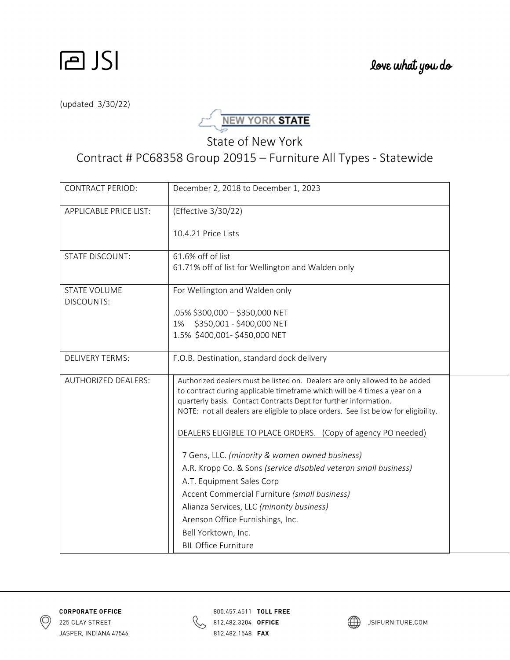

(updated 3/30/22)



State of New York

Contract # PC68358 Group 20915 – Furniture All Types ‐ Statewide

| <b>CONTRACT PERIOD:</b>           | December 2, 2018 to December 1, 2023                                                                                                                                                                                                                                                                               |  |
|-----------------------------------|--------------------------------------------------------------------------------------------------------------------------------------------------------------------------------------------------------------------------------------------------------------------------------------------------------------------|--|
| <b>APPLICABLE PRICE LIST:</b>     | (Effective 3/30/22)                                                                                                                                                                                                                                                                                                |  |
|                                   | 10.4.21 Price Lists                                                                                                                                                                                                                                                                                                |  |
| <b>STATE DISCOUNT:</b>            | 61.6% off of list<br>61.71% off of list for Wellington and Walden only                                                                                                                                                                                                                                             |  |
| <b>STATE VOLUME</b><br>DISCOUNTS: | For Wellington and Walden only                                                                                                                                                                                                                                                                                     |  |
|                                   | .05% \$300,000 - \$350,000 NET                                                                                                                                                                                                                                                                                     |  |
|                                   | 1% \$350,001 - \$400,000 NET                                                                                                                                                                                                                                                                                       |  |
|                                   | 1.5% \$400,001-\$450,000 NET                                                                                                                                                                                                                                                                                       |  |
| <b>DELIVERY TERMS:</b>            | F.O.B. Destination, standard dock delivery                                                                                                                                                                                                                                                                         |  |
| <b>AUTHORIZED DEALERS:</b>        | Authorized dealers must be listed on. Dealers are only allowed to be added<br>to contract during applicable timeframe which will be 4 times a year on a<br>quarterly basis. Contact Contracts Dept for further information.<br>NOTE: not all dealers are eligible to place orders. See list below for eligibility. |  |
|                                   | DEALERS ELIGIBLE TO PLACE ORDERS. (Copy of agency PO needed)                                                                                                                                                                                                                                                       |  |
|                                   | 7 Gens, LLC. (minority & women owned business)                                                                                                                                                                                                                                                                     |  |
|                                   | A.R. Kropp Co. & Sons (service disabled veteran small business)                                                                                                                                                                                                                                                    |  |
|                                   | A.T. Equipment Sales Corp                                                                                                                                                                                                                                                                                          |  |
|                                   | Accent Commercial Furniture (small business)                                                                                                                                                                                                                                                                       |  |
|                                   | Alianza Services, LLC (minority business)                                                                                                                                                                                                                                                                          |  |
|                                   | Arenson Office Furnishings, Inc.                                                                                                                                                                                                                                                                                   |  |
|                                   | Bell Yorktown, Inc.                                                                                                                                                                                                                                                                                                |  |
|                                   | <b>BIL Office Furniture</b>                                                                                                                                                                                                                                                                                        |  |



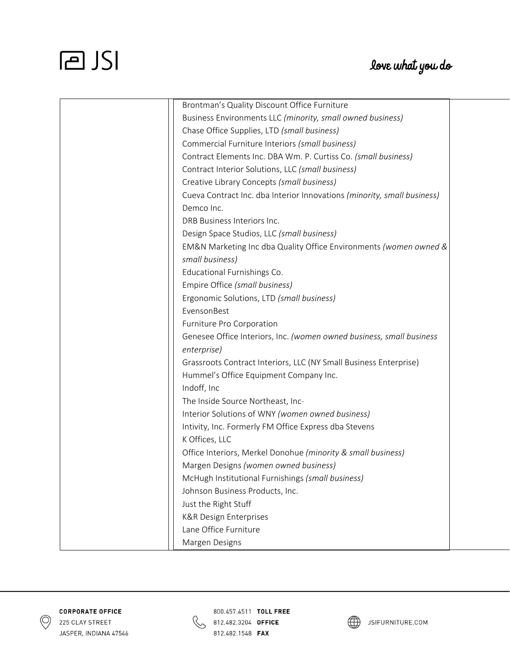### love what you do

| Brontman's Quality Discount Office Furniture                            |
|-------------------------------------------------------------------------|
| Business Environments LLC (minority, small owned business)              |
| Chase Office Supplies, LTD (small business)                             |
| Commercial Furniture Interiors (small business)                         |
| Contract Elements Inc. DBA Wm. P. Curtiss Co. (small business)          |
| Contract Interior Solutions, LLC (small business)                       |
| Creative Library Concepts (small business)                              |
| Cueva Contract Inc. dba Interior Innovations (minority, small business) |
| Demco Inc.                                                              |
| DRB Business Interiors Inc.                                             |
| Design Space Studios, LLC (small business)                              |
| EM&N Marketing Inc dba Quality Office Environments (women owned &       |
| small business)                                                         |
| Educational Furnishings Co.                                             |
| Empire Office (small business)                                          |
| Ergonomic Solutions, LTD (small business)                               |
| EvensonBest                                                             |
| Furniture Pro Corporation                                               |
| Genesee Office Interiors, Inc. (women owned business, small business    |
| enterprise)                                                             |
| Grassroots Contract Interiors, LLC (NY Small Business Enterprise)       |
| Hummel's Office Equipment Company Inc.                                  |
| Indoff, Inc                                                             |
| The Inside Source Northeast, Inc-                                       |
| Interior Solutions of WNY (women owned business)                        |
| Intivity, Inc. Formerly FM Office Express dba Stevens                   |
| K Offices, LLC                                                          |
| Office Interiors, Merkel Donohue (minority & small business)            |
| Margen Designs (women owned business)                                   |
| McHugh Institutional Furnishings (small business)                       |
| Johnson Business Products, Inc.                                         |
| Just the Right Stuff                                                    |
| <b>K&amp;R Design Enterprises</b>                                       |
| Lane Office Furniture                                                   |
| Margen Designs                                                          |





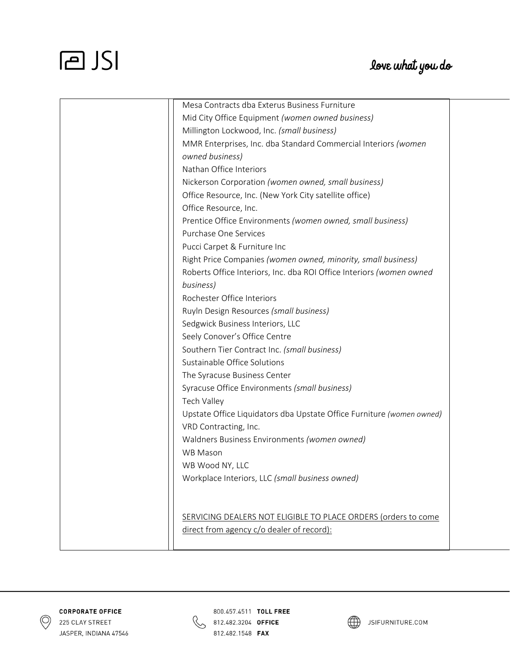### love what you do

| Mesa Contracts dba Exterus Business Furniture                         |
|-----------------------------------------------------------------------|
| Mid City Office Equipment (women owned business)                      |
| Millington Lockwood, Inc. (small business)                            |
| MMR Enterprises, Inc. dba Standard Commercial Interiors (women        |
| owned business)                                                       |
| Nathan Office Interiors                                               |
| Nickerson Corporation (women owned, small business)                   |
| Office Resource, Inc. (New York City satellite office)                |
| Office Resource, Inc.                                                 |
| Prentice Office Environments (women owned, small business)            |
| Purchase One Services                                                 |
| Pucci Carpet & Furniture Inc                                          |
| Right Price Companies (women owned, minority, small business)         |
| Roberts Office Interiors, Inc. dba ROI Office Interiors (women owned  |
| business)                                                             |
| Rochester Office Interiors                                            |
| Ruyln Design Resources (small business)                               |
| Sedgwick Business Interiors, LLC                                      |
| Seely Conover's Office Centre                                         |
| Southern Tier Contract Inc. (small business)                          |
| Sustainable Office Solutions                                          |
| The Syracuse Business Center                                          |
| Syracuse Office Environments (small business)                         |
| Tech Valley                                                           |
| Upstate Office Liquidators dba Upstate Office Furniture (women owned) |
| VRD Contracting, Inc.                                                 |
| Waldners Business Environments (women owned)                          |
| <b>WB Mason</b>                                                       |
| WB Wood NY, LLC                                                       |
| Workplace Interiors, LLC (small business owned)                       |
|                                                                       |
|                                                                       |
| SERVICING DEALERS NOT ELIGIBLE TO PLACE ORDERS (orders to come        |
| direct from agency c/o dealer of record):                             |
|                                                                       |





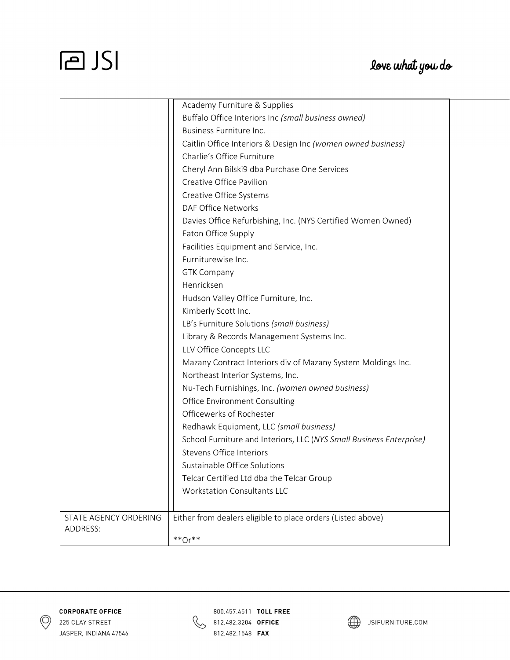|                       | Academy Furniture & Supplies                                        |  |
|-----------------------|---------------------------------------------------------------------|--|
|                       | Buffalo Office Interiors Inc (small business owned)                 |  |
|                       | Business Furniture Inc.                                             |  |
|                       | Caitlin Office Interiors & Design Inc (women owned business)        |  |
|                       | Charlie's Office Furniture                                          |  |
|                       | Cheryl Ann Bilski9 dba Purchase One Services                        |  |
|                       | Creative Office Pavilion                                            |  |
|                       | Creative Office Systems                                             |  |
|                       | DAF Office Networks                                                 |  |
|                       | Davies Office Refurbishing, Inc. (NYS Certified Women Owned)        |  |
|                       | Eaton Office Supply                                                 |  |
|                       | Facilities Equipment and Service, Inc.                              |  |
|                       | Furniturewise Inc.                                                  |  |
|                       | <b>GTK Company</b>                                                  |  |
|                       | Henricksen                                                          |  |
|                       | Hudson Valley Office Furniture, Inc.                                |  |
|                       | Kimberly Scott Inc.                                                 |  |
|                       | LB's Furniture Solutions (small business)                           |  |
|                       | Library & Records Management Systems Inc.                           |  |
|                       | LLV Office Concepts LLC                                             |  |
|                       | Mazany Contract Interiors div of Mazany System Moldings Inc.        |  |
|                       | Northeast Interior Systems, Inc.                                    |  |
|                       | Nu-Tech Furnishings, Inc. (women owned business)                    |  |
|                       | Office Environment Consulting                                       |  |
|                       | Officewerks of Rochester                                            |  |
|                       | Redhawk Equipment, LLC (small business)                             |  |
|                       | School Furniture and Interiors, LLC (NYS Small Business Enterprise) |  |
|                       | <b>Stevens Office Interiors</b>                                     |  |
|                       | Sustainable Office Solutions                                        |  |
|                       | Telcar Certified Ltd dba the Telcar Group                           |  |
|                       | <b>Workstation Consultants LLC</b>                                  |  |
| STATE AGENCY ORDERING | Either from dealers eligible to place orders (Listed above)         |  |
| ADDRESS:              |                                                                     |  |
|                       | $**$ Or $**$                                                        |  |





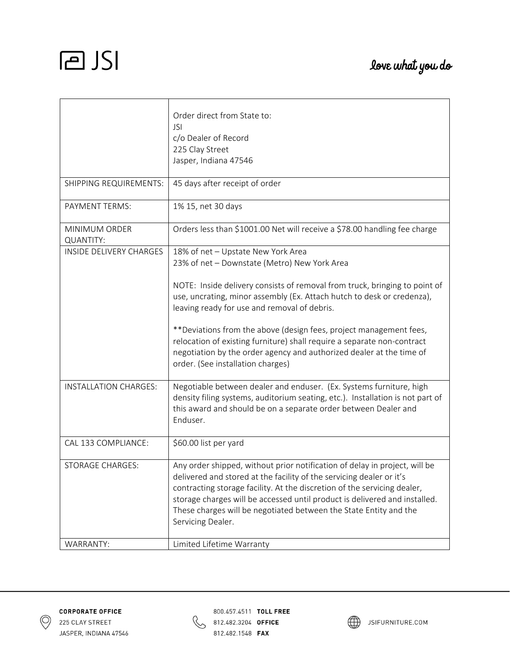|                            | Order direct from State to:<br><b>JSI</b><br>c/o Dealer of Record<br>225 Clay Street<br>Jasper, Indiana 47546                                                                                                                                                                                                                                                                                          |
|----------------------------|--------------------------------------------------------------------------------------------------------------------------------------------------------------------------------------------------------------------------------------------------------------------------------------------------------------------------------------------------------------------------------------------------------|
| SHIPPING REQUIREMENTS:     | 45 days after receipt of order                                                                                                                                                                                                                                                                                                                                                                         |
| PAYMENT TERMS:             | 1% 15, net 30 days                                                                                                                                                                                                                                                                                                                                                                                     |
| MINIMUM ORDER<br>QUANTITY: | Orders less than \$1001.00 Net will receive a \$78.00 handling fee charge                                                                                                                                                                                                                                                                                                                              |
| INSIDE DELIVERY CHARGES    | 18% of net - Upstate New York Area<br>23% of net - Downstate (Metro) New York Area                                                                                                                                                                                                                                                                                                                     |
|                            | NOTE: Inside delivery consists of removal from truck, bringing to point of<br>use, uncrating, minor assembly (Ex. Attach hutch to desk or credenza),<br>leaving ready for use and removal of debris.                                                                                                                                                                                                   |
|                            | **Deviations from the above (design fees, project management fees,<br>relocation of existing furniture) shall require a separate non-contract<br>negotiation by the order agency and authorized dealer at the time of<br>order. (See installation charges)                                                                                                                                             |
| INSTALLATION CHARGES:      | Negotiable between dealer and enduser. (Ex. Systems furniture, high<br>density filing systems, auditorium seating, etc.). Installation is not part of<br>this award and should be on a separate order between Dealer and<br>Enduser.                                                                                                                                                                   |
| CAL 133 COMPLIANCE:        | \$60.00 list per yard                                                                                                                                                                                                                                                                                                                                                                                  |
| <b>STORAGE CHARGES:</b>    | Any order shipped, without prior notification of delay in project, will be<br>delivered and stored at the facility of the servicing dealer or it's<br>contracting storage facility. At the discretion of the servicing dealer,<br>storage charges will be accessed until product is delivered and installed.<br>These charges will be negotiated between the State Entity and the<br>Servicing Dealer. |
| WARRANTY:                  | Limited Lifetime Warranty                                                                                                                                                                                                                                                                                                                                                                              |





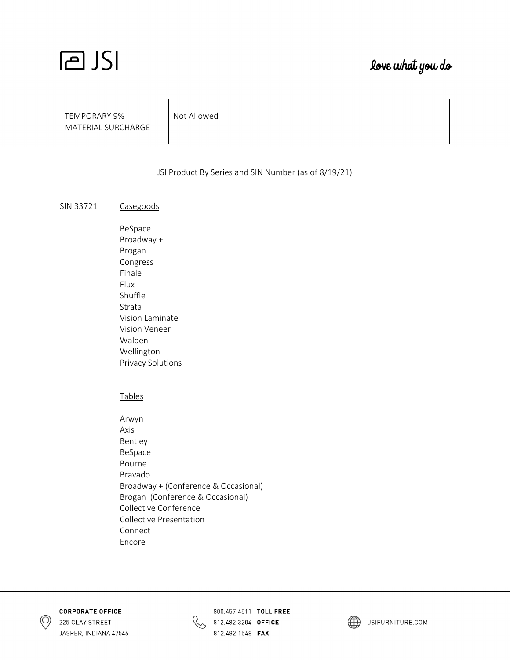### love what you do

| TEMPORARY 9%       | Not Allowed |
|--------------------|-------------|
| MATERIAL SURCHARGE |             |

#### JSI Product By Series and SIN Number (as of 8/19/21)

#### SIN 33721 Casegoods

 BeSpace Broadway + Brogan Congress Finale Flux Shuffle Strata Vision Laminate Vision Veneer Walden Wellington Privacy Solutions

#### **Tables**

 Arwyn Axis Bentley BeSpace Bourne Bravado Broadway + (Conference & Occasional) Brogan (Conference & Occasional) Collective Conference Collective Presentation Connect Encore





800.457.4511 TOLL FREE 812.482.3204 OFFICE 812.482.1548 **FAX** 

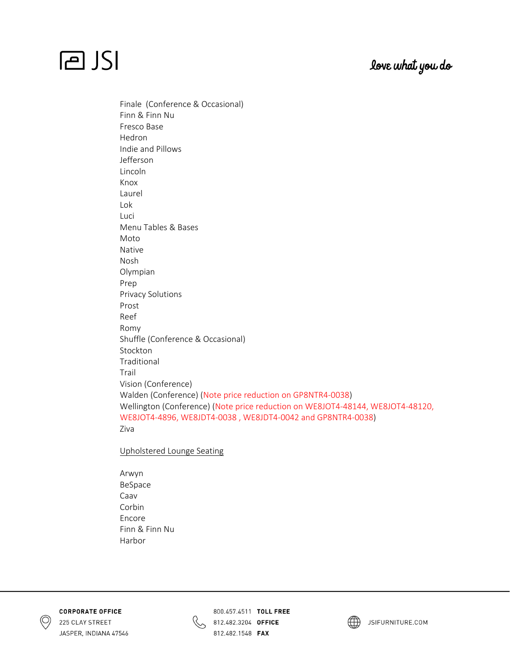### love what you do



Finale (Conference & Occasional) Finn & Finn Nu Fresco Base Hedron Indie and Pillows Jefferson Lincoln Knox Laurel Lok Luci Menu Tables & Bases Moto Native Nosh Olympian Prep Privacy Solutions Prost Reef Romy Shuffle (Conference & Occasional) Stockton Traditional Trail Vision (Conference) Walden (Conference) (Note price reduction on GP8NTR4‐0038) Wellington (Conference) (Note price reduction on WE8JOT4‐48144, WE8JOT4‐48120, WE8JOT4‐4896, WE8JDT4‐0038 , WE8JDT4‐0042 and GP8NTR4‐0038) Ziva

Upholstered Lounge Seating

 Arwyn BeSpace Caav Corbin Encore Finn & Finn Nu Harbor





800.457.4511 TOLL FREE 812.482.3204 OFFICE 812.482.1548 FAX

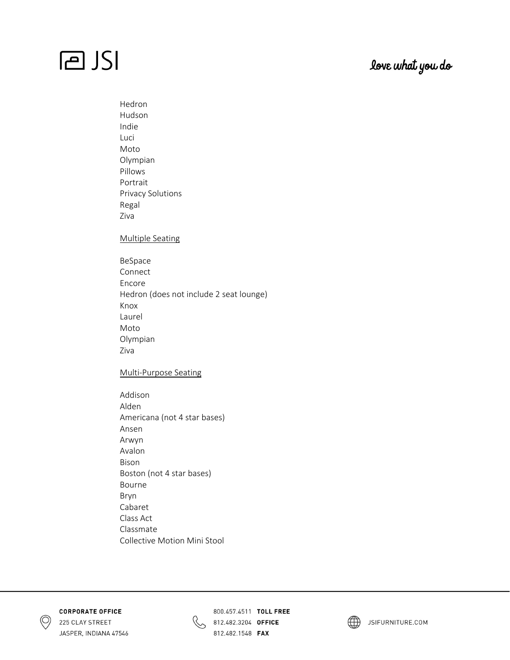### love what you do

 Hedron Hudson Indie Luci Moto Olympian Pillows Portrait Privacy Solutions Regal Ziva

#### Multiple Seating

 BeSpace Connect Encore Hedron (does not include 2 seat lounge) Knox Laurel Moto Olympian Ziva

#### Multi‐Purpose Seating

 Addison Alden Americana (not 4 star bases) Ansen Arwyn Avalon Bison Boston (not 4 star bases) Bourne Bryn Cabaret Class Act Classmate Collective Motion Mini Stool





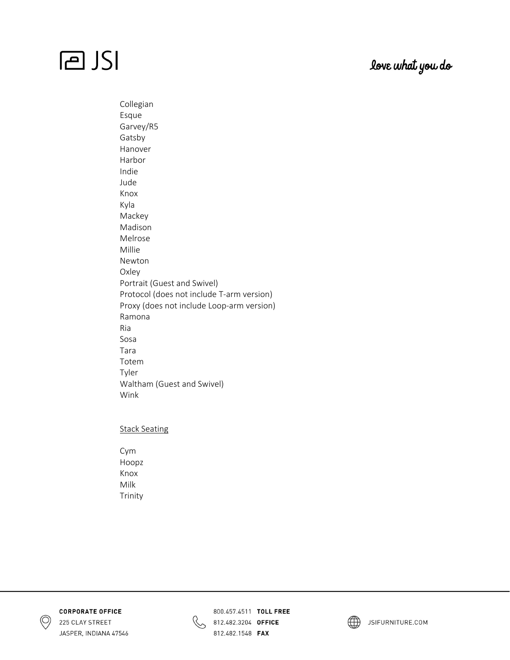### love what you do

 Collegian Esque Garvey/R5 Gatsby Hanover Harbor Indie Jude Knox Kyla Mackey Madison Melrose Millie Newton Oxley Portrait (Guest and Swivel) Protocol (does not include T‐arm version) Proxy (does not include Loop‐arm version) Ramona Ria Sosa Tara Totem Tyler Waltham (Guest and Swivel) Wink

#### Stack Seating

 Cym Hoopz Knox Milk Trinity